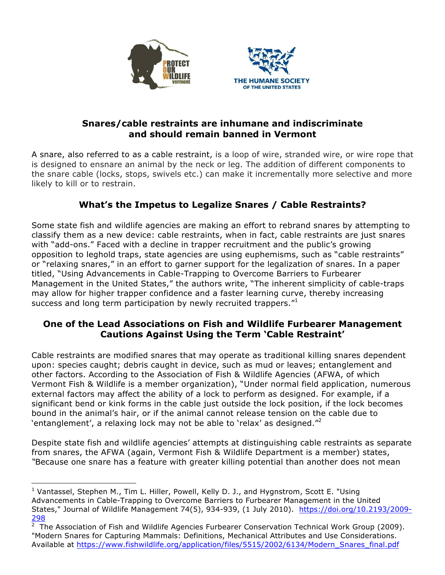



### **Snares/cable restraints are inhumane and indiscriminate and should remain banned in Vermont**

A snare, also referred to as a cable restraint, is a loop of wire, stranded wire, or wire rope that is designed to ensnare an animal by the neck or leg. The addition of different components to the snare cable (locks, stops, swivels etc.) can make it incrementally more selective and more likely to kill or to restrain.

# **What's the Impetus to Legalize Snares / Cable Restraints?**

Some state fish and wildlife agencies are making an effort to rebrand snares by attempting to classify them as a new device: cable restraints, when in fact, cable restraints are just snares with "add-ons." Faced with a decline in trapper recruitment and the public's growing opposition to leghold traps, state agencies are using euphemisms, such as "cable restraints" or "relaxing snares," in an effort to garner support for the legalization of snares. In a paper titled, "Using Advancements in Cable-Trapping to Overcome Barriers to Furbearer Management in the United States," the authors write, "The inherent simplicity of cable-traps may allow for higher trapper confidence and a faster learning curve, thereby increasing success and long term participation by newly recruited trappers."

### **One of the Lead Associations on Fish and Wildlife Furbearer Management Cautions Against Using the Term 'Cable Restraint'**

Cable restraints are modified snares that may operate as traditional killing snares dependent upon: species caught; debris caught in device, such as mud or leaves; entanglement and other factors. According to the Association of Fish & Wildlife Agencies (AFWA, of which Vermont Fish & Wildlife is a member organization), "Under normal field application, numerous external factors may affect the ability of a lock to perform as designed. For example, if a significant bend or kink forms in the cable just outside the lock position, if the lock becomes bound in the animal's hair, or if the animal cannot release tension on the cable due to 'entanglement', a relaxing lock may not be able to 'relax' as designed. $^{\prime\prime\prime}$ 

Despite state fish and wildlife agencies' attempts at distinguishing cable restraints as separate from snares, the AFWA (again, Vermont Fish & Wildlife Department is a member) states, *"*Because one snare has a feature with greater killing potential than another does not mean

 <sup>1</sup> Vantassel, Stephen M., Tim L. Hiller, Powell, Kelly D. J., and Hygnstrom, Scott E. "Using Advancements in Cable-Trapping to Overcome Barriers to Furbearer Management in the United States," Journal of Wildlife Management 74(5), 934-939, (1 July 2010). https://doi.org/10.2193/2009- 298

<sup>2</sup> The Association of Fish and Wildlife Agencies Furbearer Conservation Technical Work Group (2009). "Modern Snares for Capturing Mammals: Definitions, Mechanical Attributes and Use Considerations. Available at https://www.fishwildlife.org/application/files/5515/2002/6134/Modern\_Snares\_final.pdf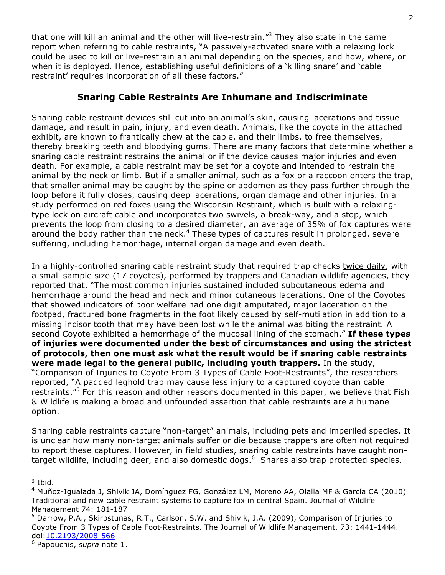that one will kill an animal and the other will live-restrain."<sup>3</sup> They also state in the same report when referring to cable restraints, "A passively-activated snare with a relaxing lock could be used to kill or live-restrain an animal depending on the species, and how, where, or when it is deployed. Hence, establishing useful definitions of a 'killing snare' and 'cable restraint' requires incorporation of all these factors."

### **Snaring Cable Restraints Are Inhumane and Indiscriminate**

Snaring cable restraint devices still cut into an animal's skin, causing lacerations and tissue damage, and result in pain, injury, and even death. Animals, like the coyote in the attached exhibit, are known to frantically chew at the cable, and their limbs, to free themselves, thereby breaking teeth and bloodying gums. There are many factors that determine whether a snaring cable restraint restrains the animal or if the device causes major injuries and even death. For example, a cable restraint may be set for a coyote and intended to restrain the animal by the neck or limb. But if a smaller animal, such as a fox or a raccoon enters the trap, that smaller animal may be caught by the spine or abdomen as they pass further through the loop before it fully closes, causing deep lacerations, organ damage and other injuries. In a study performed on red foxes using the Wisconsin Restraint, which is built with a relaxingtype lock on aircraft cable and incorporates two swivels, a break-way, and a stop, which prevents the loop from closing to a desired diameter, an average of 35% of fox captures were around the body rather than the neck. $4$  These types of captures result in prolonged, severe suffering, including hemorrhage, internal organ damage and even death.

In a highly-controlled snaring cable restraint study that required trap checks twice daily, with a small sample size (17 coyotes), performed by trappers and Canadian wildlife agencies, they reported that, "The most common injuries sustained included subcutaneous edema and hemorrhage around the head and neck and minor cutaneous lacerations. One of the Coyotes that showed indicators of poor welfare had one digit amputated, major laceration on the footpad, fractured bone fragments in the foot likely caused by self-mutilation in addition to a missing incisor tooth that may have been lost while the animal was biting the restraint*.* A second Coyote exhibited a hemorrhage of the mucosal lining of the stomach." **If these types of injuries were documented under the best of circumstances and using the strictest of protocols, then one must ask what the result would be if snaring cable restraints were made legal to the general public, including youth trappers.** In the study, "Comparison of Injuries to Coyote From 3 Types of Cable Foot-Restraints", the researchers reported, "A padded leghold trap may cause less injury to a captured coyote than cable restraints."<sup>5</sup> For this reason and other reasons documented in this paper, we believe that Fish & Wildlife is making a broad and unfounded assertion that cable restraints are a humane option.

Snaring cable restraints capture "non-target" animals, including pets and imperiled species. It is unclear how many non-target animals suffer or die because trappers are often not required to report these captures. However, in field studies, snaring cable restraints have caught nontarget wildlife, including deer, and also domestic dogs.<sup>6</sup> Snares also trap protected species,

 

 $3$  Ibid.

<sup>4</sup> Muñoz-Igualada J, Shivik JA, Domínguez FG, González LM, Moreno AA, Olalla MF & García CA (2010) Traditional and new cable restraint systems to capture fox in central Spain. Journal of Wildlife Management 74: 181-187

<sup>&</sup>lt;sup>5</sup> Darrow, P.A., Skirpstunas, R.T., Carlson, S.W. and Shivik, J.A. (2009), Comparison of Injuries to Coyote From 3 Types of Cable Foot-Restraints. The Journal of Wildlife Management, 73: 1441-1444. doi:10.2193/2008-566

<sup>6</sup> Papouchis, *supra* note 1.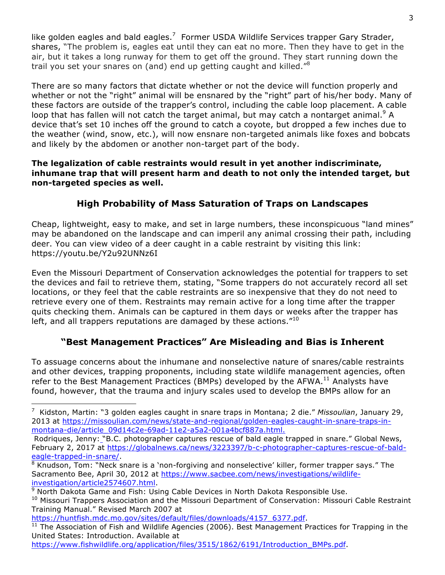like golden eagles and bald eagles.<sup>7</sup> Former USDA Wildlife Services trapper Gary Strader, shares, "The problem is, eagles eat until they can eat no more. Then they have to get in the air, but it takes a long runway for them to get off the ground. They start running down the trail you set your snares on (and) end up getting caught and killed."<sup>8</sup>

There are so many factors that dictate whether or not the device will function properly and whether or not the "right" animal will be ensnared by the "right" part of his/her body. Many of these factors are outside of the trapper's control, including the cable loop placement. A cable loop that has fallen will not catch the target animal, but may catch a nontarget animal.<sup>9</sup> A device that's set 10 inches off the ground to catch a coyote, but dropped a few inches due to the weather (wind, snow, etc.), will now ensnare non-targeted animals like foxes and bobcats and likely by the abdomen or another non-target part of the body.

#### **The legalization of cable restraints would result in yet another indiscriminate, inhumane trap that will present harm and death to not only the intended target, but non-targeted species as well.**

# **High Probability of Mass Saturation of Traps on Landscapes**

Cheap, lightweight, easy to make, and set in large numbers, these inconspicuous "land mines" may be abandoned on the landscape and can imperil any animal crossing their path, including deer. You can view video of a deer caught in a cable restraint by visiting this link: https://youtu.be/Y2u92UNNz6I

Even the Missouri Department of Conservation acknowledges the potential for trappers to set the devices and fail to retrieve them, stating, "Some trappers do not accurately record all set locations, or they feel that the cable restraints are so inexpensive that they do not need to retrieve every one of them. Restraints may remain active for a long time after the trapper quits checking them. Animals can be captured in them days or weeks after the trapper has left, and all trappers reputations are damaged by these actions. $"10"$ 

# **"Best Management Practices" Are Misleading and Bias is Inherent**

To assuage concerns about the inhumane and nonselective nature of snares/cable restraints and other devices, trapping proponents, including state wildlife management agencies, often refer to the Best Management Practices (BMPs) developed by the AFWA.<sup>11</sup> Analysts have found, however, that the trauma and injury scales used to develop the BMPs allow for an

https://huntfish.mdc.mo.gov/sites/default/files/downloads/4157\_6377.pdf.

 

```
https://www.fishwildlife.org/application/files/3515/1862/6191/Introduction_BMPs.pdf.
```
<sup>7</sup> Kidston, Martin: "3 golden eagles caught in snare traps in Montana; 2 die." *Missoulian*, January 29, 2013 at https://missoulian.com/news/state-and-regional/golden-eagles-caught-in-snare-traps-inmontana-die/article\_09d14c2e-69ad-11e2-a5a2-001a4bcf887a.html.

Rodriques, Jenny: "B.C. photographer captures rescue of bald eagle trapped in snare." Global News, February 2, 2017 at https://globalnews.ca/news/3223397/b-c-photographer-captures-rescue-of-baldeagle-trapped-in-snare/.

<sup>8</sup> Knudson, Tom: "Neck snare is a 'non-forgiving and nonselective' killer, former trapper says." The Sacramento Bee, April 30, 2012 at https://www.sacbee.com/news/investigations/wildlifeinvestigation/article2574607.html.

<sup>&</sup>lt;sup>9</sup> North Dakota Game and Fish: Using Cable Devices in North Dakota Responsible Use. <sup>10</sup> Missouri Trappers Association and the Missouri Department of Conservation: Missouri Cable Restraint Training Manual." Revised March 2007 at

<sup>&</sup>lt;sup>11</sup> The Association of Fish and Wildlife Agencies (2006). Best Management Practices for Trapping in the United States: Introduction. Available at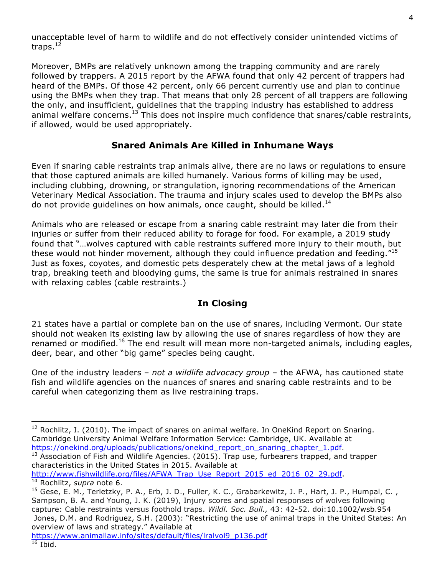unacceptable level of harm to wildlife and do not effectively consider unintended victims of traps. $12$ 

Moreover, BMPs are relatively unknown among the trapping community and are rarely followed by trappers. A 2015 report by the AFWA found that only 42 percent of trappers had heard of the BMPs. Of those 42 percent, only 66 percent currently use and plan to continue using the BMPs when they trap. That means that only 28 percent of all trappers are following the only, and insufficient, guidelines that the trapping industry has established to address animal welfare concerns.<sup>13</sup> This does not inspire much confidence that snares/cable restraints, if allowed, would be used appropriately.

### **Snared Animals Are Killed in Inhumane Ways**

Even if snaring cable restraints trap animals alive, there are no laws or regulations to ensure that those captured animals are killed humanely. Various forms of killing may be used, including clubbing, drowning, or strangulation, ignoring recommendations of the American Veterinary Medical Association. The trauma and injury scales used to develop the BMPs also do not provide quidelines on how animals, once caught, should be killed.<sup>14</sup>

Animals who are released or escape from a snaring cable restraint may later die from their injuries or suffer from their reduced ability to forage for food. For example, a 2019 study found that "…wolves captured with cable restraints suffered more injury to their mouth, but these would not hinder movement, although they could influence predation and feeding."<sup>15</sup> Just as foxes, coyotes, and domestic pets desperately chew at the metal jaws of a leghold trap, breaking teeth and bloodying gums, the same is true for animals restrained in snares with relaxing cables (cable restraints.)

#### **In Closing**

21 states have a partial or complete ban on the use of snares, including Vermont. Our state should not weaken its existing law by allowing the use of snares regardless of how they are renamed or modified.<sup>16</sup> The end result will mean more non-targeted animals, including eagles, deer, bear, and other "big game" species being caught.

One of the industry leaders – *not a wildlife advocacy group* – the AFWA, has cautioned state fish and wildlife agencies on the nuances of snares and snaring cable restraints and to be careful when categorizing them as live restraining traps.

characteristics in the United States in 2015. Available at

 

 $12$  Rochlitz, I. (2010). The impact of snares on animal welfare. In OneKind Report on Snaring. Cambridge University Animal Welfare Information Service: Cambridge, UK. Available at https://onekind.org/uploads/publications/onekind\_report\_on\_snaring\_chapter\_1.pdf. 13 Association of Fish and Wildlife Agencies. (2015). Trap use, furbearers trapped, and trapper

http://www.fishwildlife.org/files/AFWA\_Trap\_Use\_Report\_2015\_ed\_2016\_02\_29.pdf. 14 Rochlitz, *supra* note 6.

<sup>&</sup>lt;sup>15</sup> Gese, E. M., Terletzky, P. A., Erb, J. D., Fuller, K. C., Grabarkewitz, J. P., Hart, J. P., Humpal, C., Sampson, B. A. and Young, J. K. (2019), Injury scores and spatial responses of wolves following capture: Cable restraints versus foothold traps. *Wildl. Soc. Bull.,* 43: 42-52. doi:10.1002/wsb.954 Jones, D.M. and Rodriguez, S.H. (2003): "Restricting the use of animal traps in the United States: An overview of laws and strategy." Available at